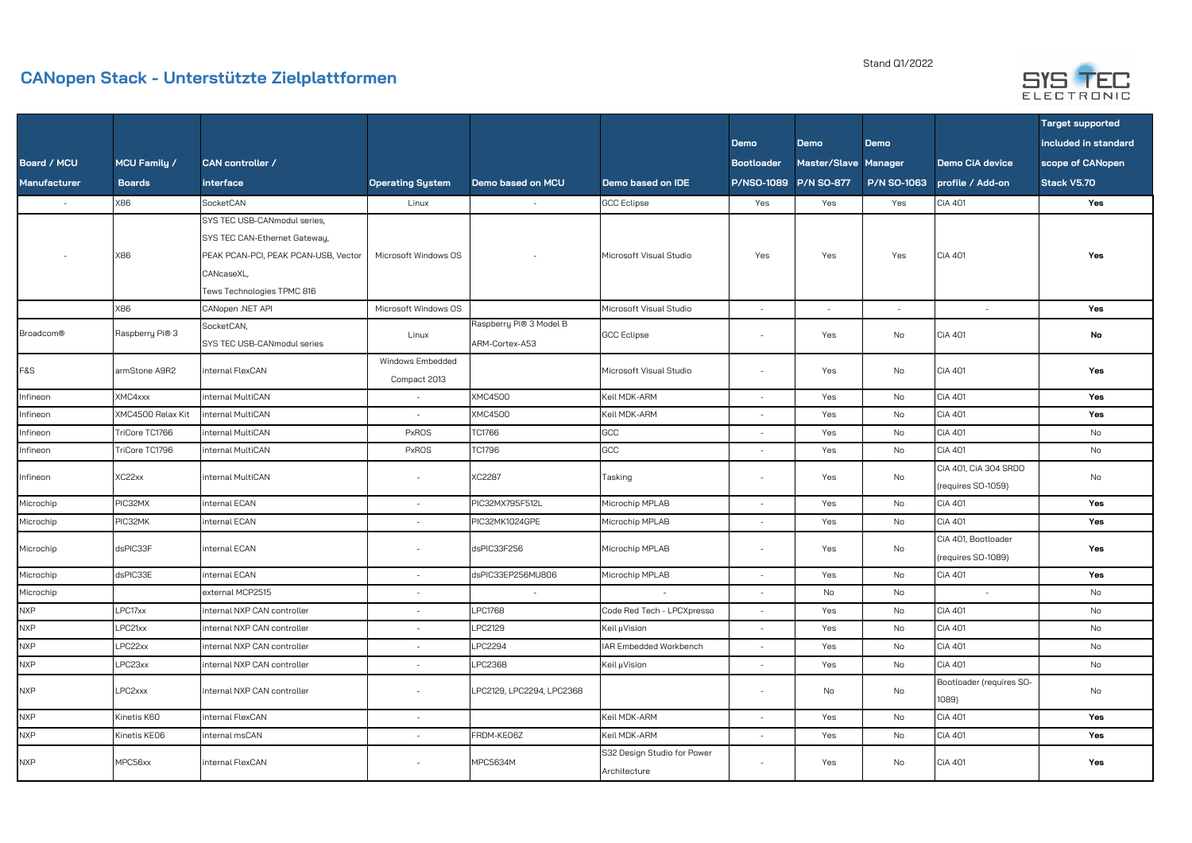## **CANopen Stack - Unterstützte Zielplattformen**

Stand Q1/2022



|                     |                     |                                      |                          |                           |                             |                       |                          |                    |                          | <b>Target supported</b> |
|---------------------|---------------------|--------------------------------------|--------------------------|---------------------------|-----------------------------|-----------------------|--------------------------|--------------------|--------------------------|-------------------------|
|                     |                     |                                      |                          |                           |                             | <b>Demo</b>           | <b>Demo</b>              | <b>Demo</b>        |                          | included in standard    |
| <b>Board / MCU</b>  | <b>MCU Family /</b> | <b>CAN</b> controller /              |                          |                           |                             | <b>Bootloader</b>     | Master/Slave Manager     |                    | Demo CiA device          | scope of CANopen        |
| <b>Manufacturer</b> | <b>Boards</b>       | interface                            | <b>Operating System</b>  | Demo based on MCU         | Demo based on IDE           | P/NSO-1089 P/N SO-877 |                          | <b>P/N SO-1063</b> | profile / Add-on         | Stack V5.70             |
| $\sim$              | X86                 | SocketCAN                            | Linux                    | $\sim$                    | <b>GCC Eclipse</b>          | Yes                   | Yes                      | Yes                | <b>CiA 401</b>           | Yes                     |
|                     |                     | SYS TEC USB-CANmodul series,         |                          |                           |                             |                       |                          |                    |                          |                         |
|                     |                     | SYS TEC CAN-Ethernet Gateway,        |                          |                           |                             |                       |                          |                    |                          |                         |
|                     | X86                 | PEAK PCAN-PCI, PEAK PCAN-USB, Vector | Microsoft Windows OS     |                           | Microsoft Visual Studio     | Yes                   | Yes                      | Yes                | <b>CiA 401</b>           | Yes                     |
|                     |                     | CANcaseXL,                           |                          |                           |                             |                       |                          |                    |                          |                         |
|                     |                     | Tews Technologies TPMC 816           |                          |                           |                             |                       |                          |                    |                          |                         |
|                     | 88X                 | CANopen .NET API                     | Microsoft Windows OS     |                           | Microsoft Visual Studio     | $\sim$                | $\overline{\phantom{a}}$ | $\sim$             | $\sim$                   | Yes                     |
| <b>Broadcom®</b>    | Raspberry Pi® 3     | SocketCAN,                           | Linux                    | Raspberry Pi® 3 Model B   | <b>GCC Eclipse</b>          | $\sim$                | Yes                      | No                 | CiA 401                  | No                      |
|                     |                     | SYS TEC USB-CANmodul series          |                          | ARM-Cortex-A53            |                             |                       |                          |                    |                          |                         |
| <b>F&amp;S</b>      | armStone A9R2       | internal FlexCAN                     | Windows Embedded         |                           | Microsoft Visual Studio     | $\sim$                | Yes                      | No                 | <b>CiA 401</b>           | Yes                     |
|                     |                     |                                      | Compact 2013             |                           |                             |                       |                          |                    |                          |                         |
| Infineon            | XMC4xxx             | internal MultiCAN                    | $\sim$                   | <b>XMC4500</b>            | Keil MDK-ARM                | $\overline{a}$        | Yes                      | No                 | <b>CiA 401</b>           | Yes                     |
| Infineon            | XMC4500 Relax Kit   | internal MultiCAN                    | $\sim$                   | <b>XMC4500</b>            | Keil MDK-ARM                |                       | Yes                      | No                 | <b>CiA 401</b>           | Yes                     |
| Infineon            | TriCore TC1766      | internal MultiCAN                    | <b>PxROS</b>             | TC1766                    | GCC                         |                       | Yes                      | No                 | <b>CiA 401</b>           | No                      |
| Infineon            | TriCore TC1796      | internal MultiCAN                    | <b>PxROS</b>             | TC1796                    | GCC                         | $\overline{a}$        | Yes                      | No                 | <b>CiA 401</b>           | No                      |
| Infineon            | XC22xx              | internal MultiCAN                    | $\sim$                   | XC2287                    | Tasking                     | $\sim$                | Yes                      | No                 | CiA 401, CiA 304 SRDO    | No                      |
|                     |                     |                                      |                          |                           |                             |                       |                          |                    | (requires SO-1059)       |                         |
| Microchip           | PIC32MX             | internal ECAN                        | $\sim$                   | PIC32MX795F512L           | Microchip MPLAB             | $\sim$                | Yes                      | No                 | <b>CiA 401</b>           | Yes                     |
| Microchip           | PIC32MK             | internal ECAN                        | $\sim$                   | PIC32MK1024GPE            | Microchip MPLAB             | $\sim$                | Yes                      | No                 | <b>CiA 401</b>           | Yes                     |
| Microchip           | dsPIC33F            | internal ECAN                        | $\sim$                   | dsPIC33F256               | Microchip MPLAB             | $\sim$                | Yes                      | No                 | CiA 401, Bootloader      | Yes                     |
|                     |                     |                                      |                          |                           |                             |                       |                          |                    | (requires SO-1089)       |                         |
| Microchip           | dsPIC33E            | internal ECAN                        | $\sim$                   | dsPIC33EP256MU806         | Microchip MPLAB             | $\overline{a}$        | Yes                      | No                 | <b>CiA 401</b>           | Yes                     |
| Microchip           |                     | external MCP2515                     | $\sim$                   | $\sim$                    | $\sim$                      | $-$                   | No                       | No                 | $\sim$                   | No                      |
| <b>NXP</b>          | LPC17xx             | internal NXP CAN controller          | $\overline{\phantom{a}}$ | <b>LPC1768</b>            | Code Red Tech - LPCXpresso  | $\sim$                | Yes                      | No                 | <b>CiA 401</b>           | No                      |
| <b>NXP</b>          | LPC21xx             | internal NXP CAN controller          | $\overline{\phantom{a}}$ | LPC2129                   | Keil µVision                | $\sim$                | Yes                      | No                 | <b>CiA 401</b>           | No                      |
| <b>NXP</b>          | LPC22xx             | internal NXP CAN controller          | $\sim$                   | LPC2294                   | IAR Embedded Workbench      | $-$                   | Yes                      | No                 | <b>CiA 401</b>           | No                      |
| <b>NXP</b>          | LPC23xx             | internal NXP CAN controller          | $\sim$                   | LPC2368                   | Keil µVision                | $\sim$                | Yes                      | No                 | <b>CiA 401</b>           | No                      |
| <b>NXP</b>          | LPC2xxx             | internal NXP CAN controller          | $\sim$                   | LPC2129, LPC2294, LPC2368 |                             | $\sim$                | No                       | No                 | Bootloader (requires SO- | No                      |
|                     |                     |                                      |                          |                           |                             |                       |                          |                    | 1089)                    |                         |
| <b>NXP</b>          | Kinetis K60         | internal FlexCAN                     | $\sim$                   |                           | Keil MDK-ARM                | $\sim$                | Yes                      | No                 | <b>CiA 401</b>           | Yes                     |
| <b>NXP</b>          | Kinetis KE06        | internal msCAN                       | $\sim$                   | FRDM-KE06Z                | Keil MDK-ARM                | $\sim$                | Yes                      | No                 | <b>CiA 401</b>           | Yes                     |
| <b>NXP</b>          | MPC56xx             | internal FlexCAN                     | $\sim$                   | MPC5634M                  | S32 Design Studio for Power | $\sim$                | Yes                      | No                 | <b>CiA 401</b>           | Yes                     |
|                     |                     |                                      |                          |                           | Architecture                |                       |                          |                    |                          |                         |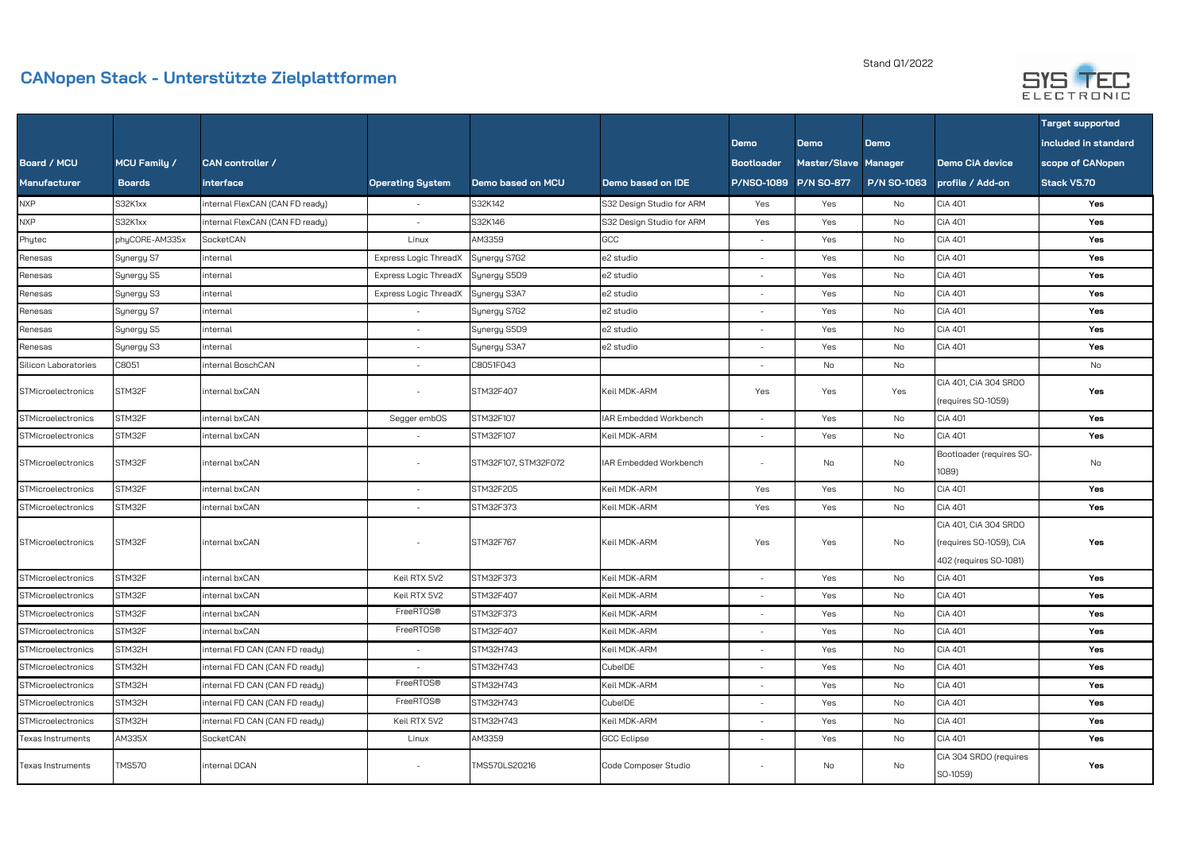## **CANopen Stack - Unterstützte Zielplattformen**

## Stand Q1/2022



|                          |                     |                                 |                              |                      |                           |                   |                      |                    |                                                                            | <b>Target supported</b> |
|--------------------------|---------------------|---------------------------------|------------------------------|----------------------|---------------------------|-------------------|----------------------|--------------------|----------------------------------------------------------------------------|-------------------------|
|                          |                     |                                 |                              |                      |                           | <b>Demo</b>       | <b>Demo</b>          | <b>Demo</b>        |                                                                            | included in standard    |
| <b>Board / MCU</b>       | <b>MCU Family /</b> | CAN controller /                |                              |                      |                           | <b>Bootloader</b> | Master/Slave Manager |                    | <b>Demo CiA device</b>                                                     | scope of CANopen        |
| <b>Manufacturer</b>      | <b>Boards</b>       | interface                       | <b>Operating System</b>      | Demo based on MCU    | Demo based on IDE         |                   |                      | <b>P/N SO-1063</b> | profile / Add-on                                                           | Stack V5.70             |
| <b>NXP</b>               | S32K1xx             | internal FlexCAN (CAN FD ready) |                              | S32K142              | S32 Design Studio for ARM | Yes               | Yes                  | No                 | CiA 401                                                                    | Yes                     |
| <b>NXP</b>               | S32K1xx             | internal FlexCAN (CAN FD ready) | $\sim$                       | S32K146              | S32 Design Studio for ARM | Yes               | Yes                  | No                 | <b>CiA 401</b>                                                             | Yes                     |
| Phytec                   | phyCORE-AM335x      | SocketCAN                       | Linux                        | AM3359               | GCC                       | $\sim$            | Yes                  | No                 | CiA 401                                                                    | Yes                     |
| Renesas                  | Synergy S7          | internal                        | <b>Express Logic ThreadX</b> | Synergy S7G2         | e2 studio                 |                   | Yes                  | No                 | CiA 401                                                                    | Yes                     |
| Renesas                  | Synergy S5          | internal                        | <b>Express Logic ThreadX</b> | Synergy S5D9         | e2 studio                 |                   | Yes                  | No                 | CiA 401                                                                    | Yes                     |
| Renesas                  | Synergy S3          | internal                        | <b>Express Logic ThreadX</b> | Synergy S3A7         | e2 studio                 | $\sim$            | Yes                  | No                 | CiA 401                                                                    | Yes                     |
| Renesas                  | Synergy S7          | internal                        | $\sim$                       | Synergy S7G2         | e2 studio                 | $\sim$            | Yes                  | No                 | CiA 401                                                                    | Yes                     |
| Renesas                  | Synergy S5          | internal                        | $\sim$                       | Synergy S5D9         | e2 studio                 | $\sim$            | Yes                  | No                 | <b>CiA 401</b>                                                             | Yes                     |
| Renesas                  | Synergy S3          | internal                        | $\sim$                       | Synergy S3A7         | e2 studio                 | $\sim$            | Yes                  | No                 | CiA 401                                                                    | Yes                     |
| Silicon Laboratories     | C8051               | internal BoschCAN               | $\sim$                       | C8051F043            |                           | $\sim$            | No                   | No                 |                                                                            | No                      |
| STMicroelectronics       | STM32F              | internal bxCAN                  |                              | STM32F407            | Keil MDK-ARM              | Yes               | Yes                  | Yes                | CiA 401, CiA 304 SRDO<br>(requires SO-1059)                                | Yes                     |
| STMicroelectronics       | STM32F              | internal bxCAN                  | Segger embOS                 | STM32F107            | IAR Embedded Workbench    | $\sim$            | Yes                  | No                 | CiA 401                                                                    | Yes                     |
| STMicroelectronics       | STM32F              | internal bxCAN                  |                              | STM32F107            | Keil MDK-ARM              | $\sim$            | Yes                  | No                 | CiA 401                                                                    | Yes                     |
| STMicroelectronics       | STM32F              | internal bxCAN                  |                              | STM32F107, STM32F072 | IAR Embedded Workbench    | $\sim$            | No                   | No                 | Bootloader (requires SO-<br>1089)                                          | No                      |
| STMicroelectronics       | STM32F              | internal bxCAN                  | $\overline{\phantom{a}}$     | STM32F205            | Keil MDK-ARM              | Yes               | Yes                  | No                 | <b>CiA 401</b>                                                             | Yes                     |
| STMicroelectronics       | STM32F              | internal bxCAN                  | $\sim$                       | STM32F373            | Keil MDK-ARM              | Yes               | Yes                  | No                 | <b>CiA 401</b>                                                             | Yes                     |
| STMicroelectronics       | STM32F              | internal bxCAN                  |                              | STM32F767            | Keil MDK-ARM              | Yes               | Yes                  | No                 | CiA 401, CiA 304 SRDO<br>(requires SO-1059), CiA<br>402 (requires SO-1081) | Yes                     |
| STMicroelectronics       | STM32F              | internal bxCAN                  | Keil RTX 5V2                 | STM32F373            | Keil MDK-ARM              | $\sim$            | Yes                  | No                 | <b>CiA 401</b>                                                             | Yes                     |
| STMicroelectronics       | STM32F              | internal bxCAN                  | Keil RTX 5V2                 | STM32F407            | Keil MDK-ARM              | $\sim$            | Yes                  | No                 | CiA 401                                                                    | Yes                     |
| STMicroelectronics       | STM32F              | internal bxCAN                  | FreeRTOS®                    | STM32F373            | Keil MDK-ARM              | $\sim$            | Yes                  | No                 | <b>CiA 401</b>                                                             | Yes                     |
| STMicroelectronics       | STM32F              | internal bxCAN                  | FreeRTOS®                    | STM32F407            | Keil MDK-ARM              | $\sim$            | Yes                  | No                 | CiA 401                                                                    | Yes                     |
| STMicroelectronics       | STM32H              | internal FD CAN (CAN FD ready)  | $\sim$                       | STM32H743            | Keil MDK-ARM              | $\sim$            | Yes                  | No                 | CiA 401                                                                    | Yes                     |
| STMicroelectronics       | STM32H              | internal FD CAN (CAN FD ready)  | $\sim$                       | STM32H743            | CubelDE                   | $\sim$            | Yes                  | No                 | CiA 401                                                                    | Yes                     |
| STMicroelectronics       | STM32H              | internal FD CAN (CAN FD ready)  | FreeRTOS®                    | STM32H743            | Keil MDK-ARM              | $\sim$            | Yes                  | No                 | <b>CiA 401</b>                                                             | Yes                     |
| STMicroelectronics       | STM32H              | internal FD CAN (CAN FD ready)  | FreeRTOS®                    | STM32H743            | CubelDE                   | $\sim$            | Yes                  | No                 | <b>CiA 401</b>                                                             | Yes                     |
| STMicroelectronics       | STM32H              | internal FD CAN (CAN FD ready)  | Keil RTX 5V2                 | STM32H743            | Keil MDK-ARM              | $\sim$            | Yes                  | No                 | <b>CiA 401</b>                                                             | Yes                     |
| Texas Instruments        | AM335X              | SocketCAN                       | Linux                        | AM3359               | <b>GCC Eclipse</b>        | $\sim$            | Yes                  | No                 | <b>CiA 401</b>                                                             | Yes                     |
| <b>Texas Instruments</b> | <b>TMS570</b>       | internal DCAN                   | $\sim$                       | TMS570LS20216        | Code Composer Studio      | $\sim$            | No                   | No                 | CiA 304 SRDO (requires<br>SO-1059)                                         | Yes                     |